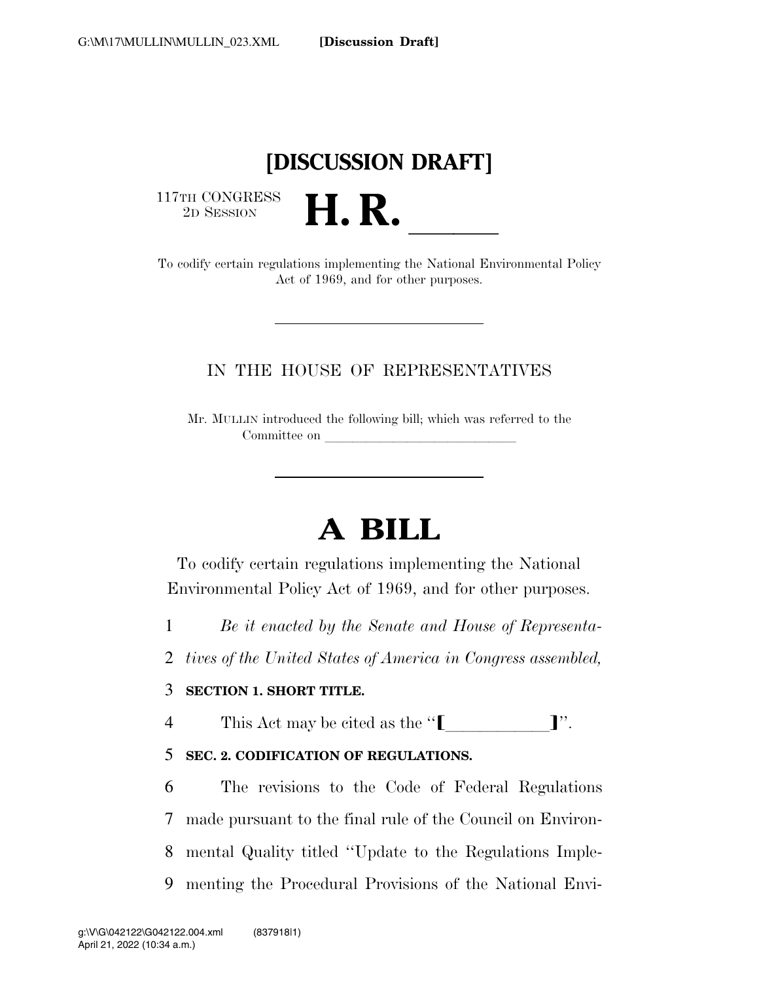## **[DISCUSSION DRAFT]**

117TH CONGRESS <sup>2D SESSION</sup> **H. R.** 

To codify certain regulations implementing the National Environmental Policy Act of 1969, and for other purposes.

### IN THE HOUSE OF REPRESENTATIVES

Mr. MULLIN introduced the following bill; which was referred to the Committee on

# **A BILL**

To codify certain regulations implementing the National Environmental Policy Act of 1969, and for other purposes.

1 *Be it enacted by the Senate and House of Representa-*

2 *tives of the United States of America in Congress assembled,* 

#### 3 **SECTION 1. SHORT TITLE.**

4 This Act may be cited as the " $\llbracket$ ".

### 5 **SEC. 2. CODIFICATION OF REGULATIONS.**

 The revisions to the Code of Federal Regulations made pursuant to the final rule of the Council on Environ- mental Quality titled ''Update to the Regulations Imple-menting the Procedural Provisions of the National Envi